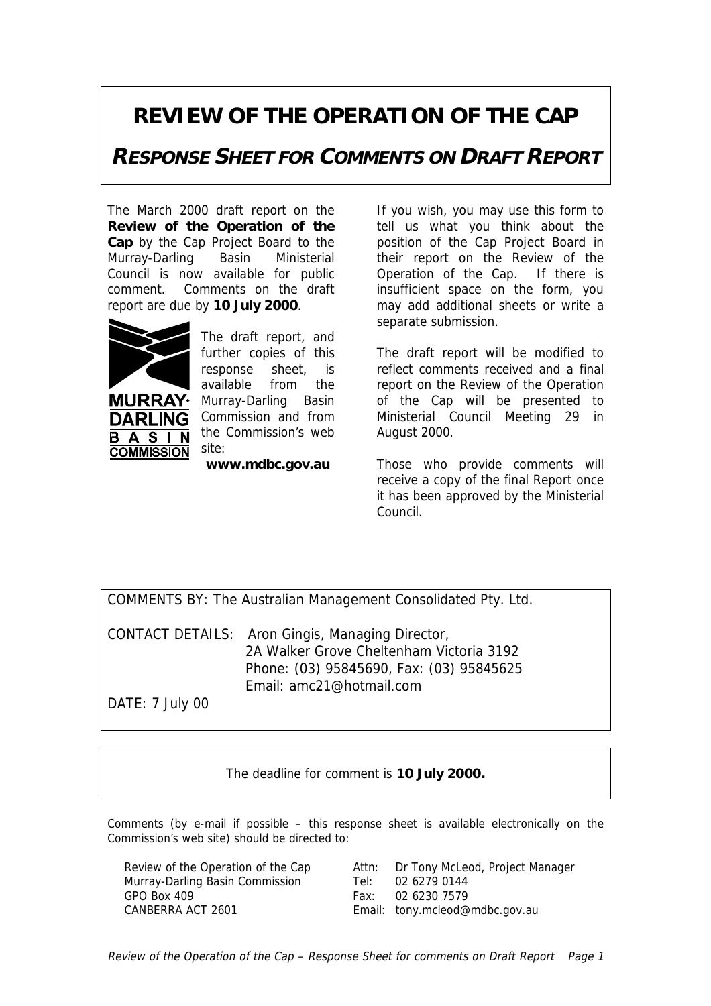## **REVIEW OF THE OPERATION OF THE CAP**

**RESPONSE SHEET FOR COMMENTS ON DRAFT REPORT**

The March 2000 draft report on the **Review of the Operation of the Cap** by the Cap Project Board to the Murray-Darling Basin Ministerial Council is now available for public comment. Comments on the draft report are due by **10 July 2000**.



**MURRAY** DARI ING.

**COMMISSION** 

 $\overline{\mathsf{N}}$ 

B A S

The draft report, and further copies of this response sheet, is available from the Murray-Darling Basin Commission and from the Commission's web site:

**www.mdbc.gov.au**

If you wish, you may use this form to tell us what you think about the position of the Cap Project Board in their report on the Review of the Operation of the Cap. If there is insufficient space on the form, you may add additional sheets or write a separate submission.

The draft report will be modified to reflect comments received and a final report on the Review of the Operation of the Cap will be presented to Ministerial Council Meeting 29 in August 2000.

Those who provide comments will receive a copy of the final Report once it has been approved by the Ministerial Council.

|  |  | COMMENTS BY: The Australian Management Consolidated Pty. Ltd. |  |  |
|--|--|---------------------------------------------------------------|--|--|

CONTACT DETAILS: Aron Gingis, Managing Director, 2A Walker Grove Cheltenham Victoria 3192 Phone: (03) 95845690, Fax: (03) 95845625 Email: amc21@hotmail.com

DATE: 7 July 00

The deadline for comment is **10 July 2000.**

Comments (by e-mail if possible – this response sheet is available electronically on the Commission's web site) should be directed to:

Attn: Dr Tony McLeod, Project Manager Tel: 02 6279 0144 Fax: 02 6230 7579 Email: tony.mcleod@mdbc.gov.au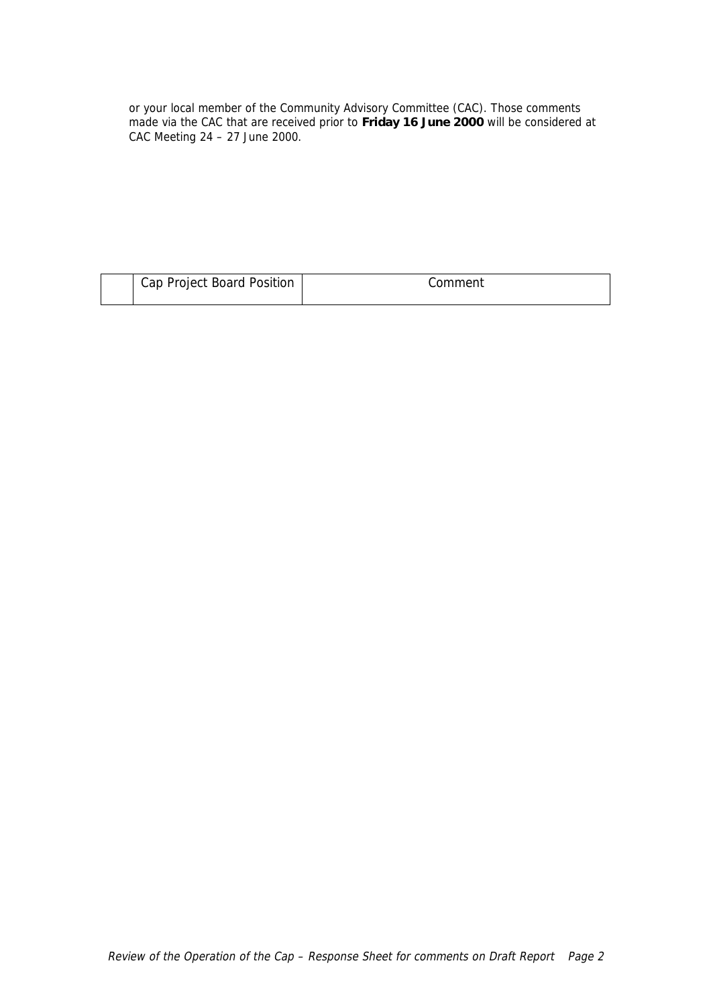or your local member of the Community Advisory Committee (CAC). Those comments made via the CAC that are received prior to **Friday 16 June 2000** will be considered at CAC Meeting 24 – 27 June 2000.

| Cap Project Board Position | Comment |  |  |
|----------------------------|---------|--|--|
|                            |         |  |  |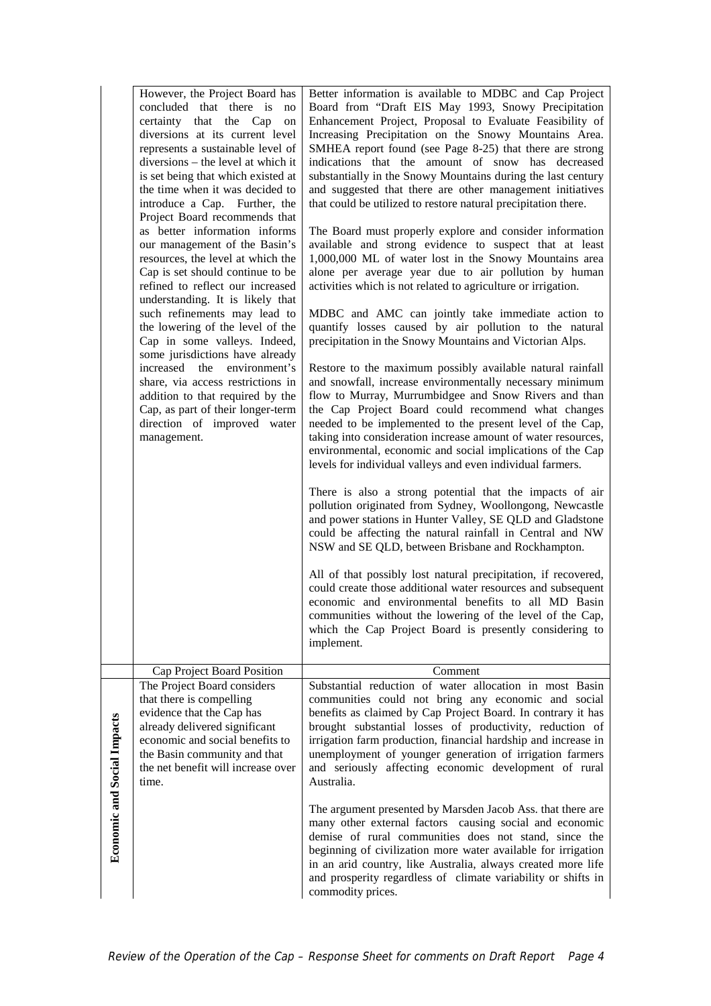|                                    | However, the Project Board has<br>concluded that there is<br>no<br>certainty that the Cap<br>on<br>diversions at its current level<br>represents a sustainable level of<br>diversions - the level at which it<br>is set being that which existed at<br>the time when it was decided to<br>introduce a Cap. Further, the<br>Project Board recommends that<br>as better information informs<br>our management of the Basin's<br>resources, the level at which the<br>Cap is set should continue to be<br>refined to reflect our increased<br>understanding. It is likely that<br>such refinements may lead to<br>the lowering of the level of the<br>Cap in some valleys. Indeed,<br>some jurisdictions have already<br>increased the environment's<br>share, via access restrictions in<br>addition to that required by the<br>Cap, as part of their longer-term<br>direction of improved water<br>management. | Better information is available to MDBC and Cap Project<br>Board from "Draft EIS May 1993, Snowy Precipitation<br>Enhancement Project, Proposal to Evaluate Feasibility of<br>Increasing Precipitation on the Snowy Mountains Area.<br>SMHEA report found (see Page 8-25) that there are strong<br>indications that the amount of snow has decreased<br>substantially in the Snowy Mountains during the last century<br>and suggested that there are other management initiatives<br>that could be utilized to restore natural precipitation there.<br>The Board must properly explore and consider information<br>available and strong evidence to suspect that at least<br>1,000,000 ML of water lost in the Snowy Mountains area<br>alone per average year due to air pollution by human<br>activities which is not related to agriculture or irrigation.<br>MDBC and AMC can jointly take immediate action to<br>quantify losses caused by air pollution to the natural<br>precipitation in the Snowy Mountains and Victorian Alps.<br>Restore to the maximum possibly available natural rainfall<br>and snowfall, increase environmentally necessary minimum<br>flow to Murray, Murrumbidgee and Snow Rivers and than<br>the Cap Project Board could recommend what changes<br>needed to be implemented to the present level of the Cap,<br>taking into consideration increase amount of water resources,<br>environmental, economic and social implications of the Cap<br>levels for individual valleys and even individual farmers.<br>There is also a strong potential that the impacts of air<br>pollution originated from Sydney, Woollongong, Newcastle<br>and power stations in Hunter Valley, SE QLD and Gladstone<br>could be affecting the natural rainfall in Central and NW<br>NSW and SE QLD, between Brisbane and Rockhampton.<br>All of that possibly lost natural precipitation, if recovered,<br>could create those additional water resources and subsequent<br>economic and environmental benefits to all MD Basin<br>communities without the lowering of the level of the Cap,<br>which the Cap Project Board is presently considering to<br>implement. |
|------------------------------------|---------------------------------------------------------------------------------------------------------------------------------------------------------------------------------------------------------------------------------------------------------------------------------------------------------------------------------------------------------------------------------------------------------------------------------------------------------------------------------------------------------------------------------------------------------------------------------------------------------------------------------------------------------------------------------------------------------------------------------------------------------------------------------------------------------------------------------------------------------------------------------------------------------------|----------------------------------------------------------------------------------------------------------------------------------------------------------------------------------------------------------------------------------------------------------------------------------------------------------------------------------------------------------------------------------------------------------------------------------------------------------------------------------------------------------------------------------------------------------------------------------------------------------------------------------------------------------------------------------------------------------------------------------------------------------------------------------------------------------------------------------------------------------------------------------------------------------------------------------------------------------------------------------------------------------------------------------------------------------------------------------------------------------------------------------------------------------------------------------------------------------------------------------------------------------------------------------------------------------------------------------------------------------------------------------------------------------------------------------------------------------------------------------------------------------------------------------------------------------------------------------------------------------------------------------------------------------------------------------------------------------------------------------------------------------------------------------------------------------------------------------------------------------------------------------------------------------------------------------------------------------------------------------------------------------------------------------------------------------------------------------------------------------------------------------------------------------------------------------|
|                                    | Cap Project Board Position                                                                                                                                                                                                                                                                                                                                                                                                                                                                                                                                                                                                                                                                                                                                                                                                                                                                                    | Comment                                                                                                                                                                                                                                                                                                                                                                                                                                                                                                                                                                                                                                                                                                                                                                                                                                                                                                                                                                                                                                                                                                                                                                                                                                                                                                                                                                                                                                                                                                                                                                                                                                                                                                                                                                                                                                                                                                                                                                                                                                                                                                                                                                          |
| <b>Economic and Social Impacts</b> | The Project Board considers<br>that there is compelling<br>evidence that the Cap has<br>already delivered significant<br>economic and social benefits to<br>the Basin community and that<br>the net benefit will increase over<br>time.                                                                                                                                                                                                                                                                                                                                                                                                                                                                                                                                                                                                                                                                       | Substantial reduction of water allocation in most Basin<br>communities could not bring any economic and social<br>benefits as claimed by Cap Project Board. In contrary it has<br>brought substantial losses of productivity, reduction of<br>irrigation farm production, financial hardship and increase in<br>unemployment of younger generation of irrigation farmers<br>and seriously affecting economic development of rural<br>Australia.                                                                                                                                                                                                                                                                                                                                                                                                                                                                                                                                                                                                                                                                                                                                                                                                                                                                                                                                                                                                                                                                                                                                                                                                                                                                                                                                                                                                                                                                                                                                                                                                                                                                                                                                  |
|                                    |                                                                                                                                                                                                                                                                                                                                                                                                                                                                                                                                                                                                                                                                                                                                                                                                                                                                                                               | The argument presented by Marsden Jacob Ass. that there are<br>many other external factors causing social and economic<br>demise of rural communities does not stand, since the<br>beginning of civilization more water available for irrigation<br>in an arid country, like Australia, always created more life<br>and prosperity regardless of climate variability or shifts in<br>commodity prices.                                                                                                                                                                                                                                                                                                                                                                                                                                                                                                                                                                                                                                                                                                                                                                                                                                                                                                                                                                                                                                                                                                                                                                                                                                                                                                                                                                                                                                                                                                                                                                                                                                                                                                                                                                           |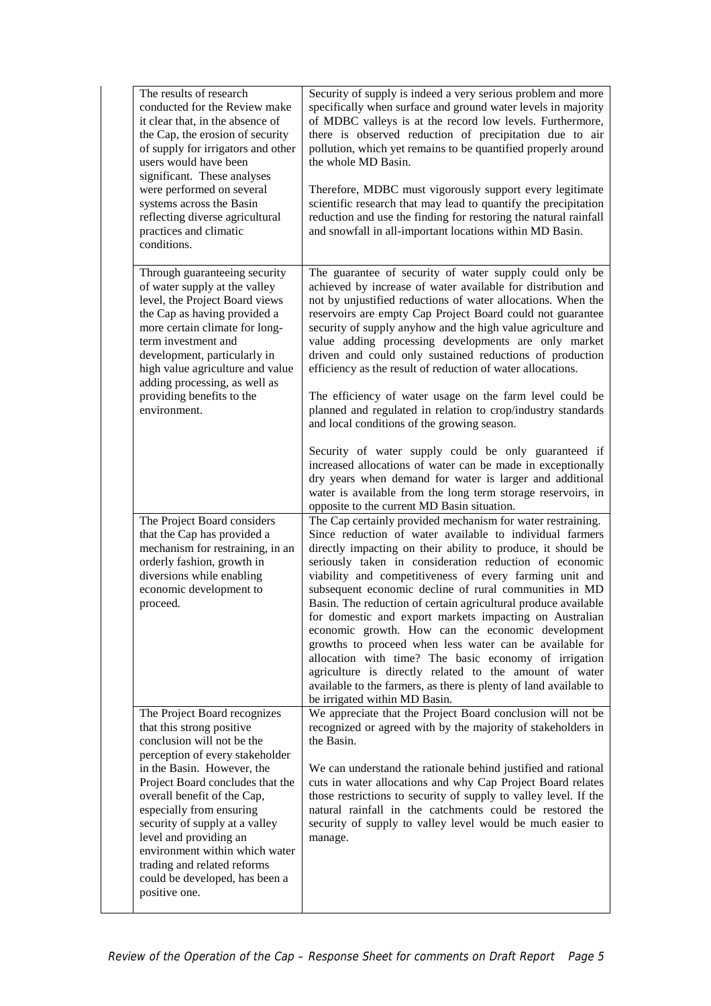| The results of research<br>conducted for the Review make<br>it clear that, in the absence of<br>the Cap, the erosion of security<br>of supply for irrigators and other<br>users would have been<br>significant. These analyses<br>were performed on several<br>systems across the Basin<br>reflecting diverse agricultural<br>practices and climatic<br>conditions.                                                                     | Security of supply is indeed a very serious problem and more<br>specifically when surface and ground water levels in majority<br>of MDBC valleys is at the record low levels. Furthermore,<br>there is observed reduction of precipitation due to air<br>pollution, which yet remains to be quantified properly around<br>the whole MD Basin.<br>Therefore, MDBC must vigorously support every legitimate<br>scientific research that may lead to quantify the precipitation<br>reduction and use the finding for restoring the natural rainfall<br>and snowfall in all-important locations within MD Basin.                                                                                                                                                                                                                                                                                                                           |
|-----------------------------------------------------------------------------------------------------------------------------------------------------------------------------------------------------------------------------------------------------------------------------------------------------------------------------------------------------------------------------------------------------------------------------------------|----------------------------------------------------------------------------------------------------------------------------------------------------------------------------------------------------------------------------------------------------------------------------------------------------------------------------------------------------------------------------------------------------------------------------------------------------------------------------------------------------------------------------------------------------------------------------------------------------------------------------------------------------------------------------------------------------------------------------------------------------------------------------------------------------------------------------------------------------------------------------------------------------------------------------------------|
| Through guaranteeing security<br>of water supply at the valley<br>level, the Project Board views<br>the Cap as having provided a<br>more certain climate for long-<br>term investment and<br>development, particularly in<br>high value agriculture and value<br>adding processing, as well as<br>providing benefits to the<br>environment.                                                                                             | The guarantee of security of water supply could only be<br>achieved by increase of water available for distribution and<br>not by unjustified reductions of water allocations. When the<br>reservoirs are empty Cap Project Board could not guarantee<br>security of supply anyhow and the high value agriculture and<br>value adding processing developments are only market<br>driven and could only sustained reductions of production<br>efficiency as the result of reduction of water allocations.<br>The efficiency of water usage on the farm level could be<br>planned and regulated in relation to crop/industry standards<br>and local conditions of the growing season.<br>Security of water supply could be only guaranteed if<br>increased allocations of water can be made in exceptionally<br>dry years when demand for water is larger and additional<br>water is available from the long term storage reservoirs, in |
| The Project Board considers<br>that the Cap has provided a<br>mechanism for restraining, in an<br>orderly fashion, growth in<br>diversions while enabling<br>economic development to<br>proceed.                                                                                                                                                                                                                                        | opposite to the current MD Basin situation.<br>The Cap certainly provided mechanism for water restraining.<br>Since reduction of water available to individual farmers<br>directly impacting on their ability to produce, it should be<br>seriously taken in consideration reduction of economic<br>viability and competitiveness of every farming unit and<br>subsequent economic decline of rural communities in MD<br>Basin. The reduction of certain agricultural produce available<br>for domestic and export markets impacting on Australian<br>economic growth. How can the economic development<br>growths to proceed when less water can be available for<br>allocation with time? The basic economy of irrigation<br>agriculture is directly related to the amount of water<br>available to the farmers, as there is plenty of land available to<br>be irrigated within MD Basin.                                            |
| The Project Board recognizes<br>that this strong positive<br>conclusion will not be the<br>perception of every stakeholder<br>in the Basin. However, the<br>Project Board concludes that the<br>overall benefit of the Cap,<br>especially from ensuring<br>security of supply at a valley<br>level and providing an<br>environment within which water<br>trading and related reforms<br>could be developed, has been a<br>positive one. | We appreciate that the Project Board conclusion will not be<br>recognized or agreed with by the majority of stakeholders in<br>the Basin.<br>We can understand the rationale behind justified and rational<br>cuts in water allocations and why Cap Project Board relates<br>those restrictions to security of supply to valley level. If the<br>natural rainfall in the catchments could be restored the<br>security of supply to valley level would be much easier to<br>manage.                                                                                                                                                                                                                                                                                                                                                                                                                                                     |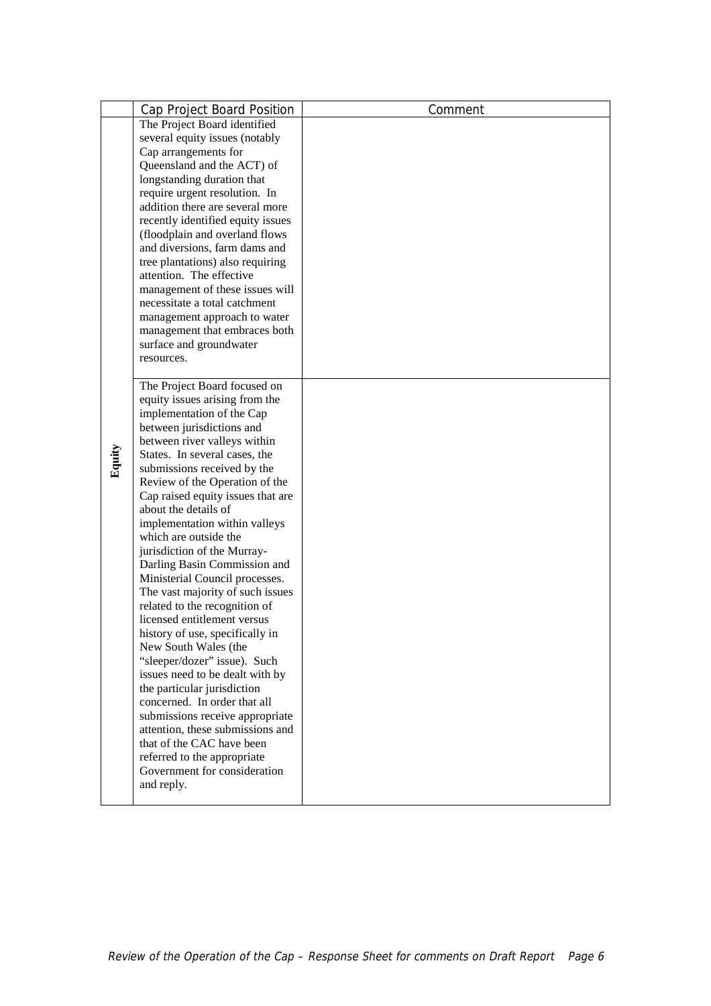|  |                                 | Cap Project Board Position                                  | Comment |
|--|---------------------------------|-------------------------------------------------------------|---------|
|  |                                 | The Project Board identified                                |         |
|  |                                 | several equity issues (notably                              |         |
|  |                                 | Cap arrangements for                                        |         |
|  |                                 | Queensland and the ACT) of                                  |         |
|  |                                 | longstanding duration that                                  |         |
|  |                                 | require urgent resolution. In                               |         |
|  |                                 | addition there are several more                             |         |
|  |                                 | recently identified equity issues                           |         |
|  |                                 | (floodplain and overland flows                              |         |
|  |                                 | and diversions, farm dams and                               |         |
|  |                                 | tree plantations) also requiring                            |         |
|  |                                 | attention. The effective                                    |         |
|  |                                 | management of these issues will                             |         |
|  |                                 | necessitate a total catchment                               |         |
|  |                                 | management approach to water                                |         |
|  |                                 | management that embraces both<br>surface and groundwater    |         |
|  |                                 | resources.                                                  |         |
|  |                                 |                                                             |         |
|  |                                 | The Project Board focused on                                |         |
|  |                                 | equity issues arising from the                              |         |
|  |                                 | implementation of the Cap                                   |         |
|  |                                 | between jurisdictions and                                   |         |
|  |                                 | between river valleys within                                |         |
|  | Equity                          | States. In several cases, the                               |         |
|  |                                 | submissions received by the                                 |         |
|  |                                 | Review of the Operation of the                              |         |
|  |                                 | Cap raised equity issues that are                           |         |
|  |                                 | about the details of                                        |         |
|  |                                 | implementation within valleys                               |         |
|  |                                 | which are outside the                                       |         |
|  |                                 | jurisdiction of the Murray-<br>Darling Basin Commission and |         |
|  |                                 | Ministerial Council processes.                              |         |
|  |                                 | The vast majority of such issues                            |         |
|  |                                 | related to the recognition of                               |         |
|  | licensed entitlement versus     |                                                             |         |
|  | history of use, specifically in |                                                             |         |
|  | New South Wales (the            |                                                             |         |
|  | "sleeper/dozer" issue). Such    |                                                             |         |
|  |                                 | issues need to be dealt with by                             |         |
|  |                                 | the particular jurisdiction                                 |         |
|  |                                 | concerned. In order that all                                |         |
|  |                                 | submissions receive appropriate                             |         |
|  |                                 | attention, these submissions and                            |         |
|  |                                 | that of the CAC have been                                   |         |
|  |                                 | referred to the appropriate                                 |         |
|  |                                 | Government for consideration                                |         |
|  |                                 | and reply.                                                  |         |
|  |                                 |                                                             |         |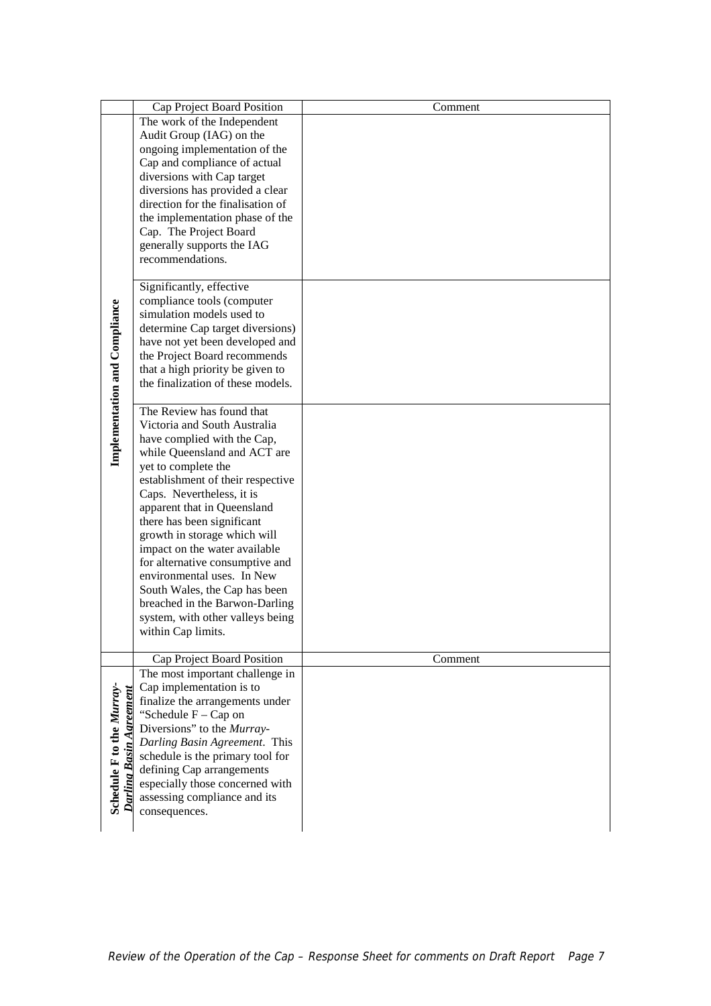|                               | Cap Project Board Position                                          | Comment |
|-------------------------------|---------------------------------------------------------------------|---------|
|                               | The work of the Independent                                         |         |
|                               | Audit Group (IAG) on the                                            |         |
|                               | ongoing implementation of the<br>Cap and compliance of actual       |         |
|                               | diversions with Cap target                                          |         |
|                               | diversions has provided a clear                                     |         |
|                               | direction for the finalisation of                                   |         |
|                               | the implementation phase of the                                     |         |
|                               | Cap. The Project Board                                              |         |
|                               | generally supports the IAG                                          |         |
|                               | recommendations.                                                    |         |
|                               | Significantly, effective                                            |         |
|                               | compliance tools (computer                                          |         |
|                               | simulation models used to                                           |         |
|                               | determine Cap target diversions)<br>have not yet been developed and |         |
|                               | the Project Board recommends                                        |         |
|                               | that a high priority be given to                                    |         |
|                               | the finalization of these models.                                   |         |
| Implementation and Compliance |                                                                     |         |
|                               | The Review has found that                                           |         |
|                               | Victoria and South Australia<br>have complied with the Cap,         |         |
|                               | while Queensland and ACT are                                        |         |
|                               | yet to complete the                                                 |         |
|                               | establishment of their respective                                   |         |
|                               | Caps. Nevertheless, it is                                           |         |
|                               | apparent that in Queensland                                         |         |
|                               | there has been significant                                          |         |
|                               | growth in storage which will                                        |         |
|                               | impact on the water available<br>for alternative consumptive and    |         |
|                               | environmental uses. In New                                          |         |
|                               | South Wales, the Cap has been                                       |         |
|                               | breached in the Barwon-Darling                                      |         |
|                               | system, with other valleys being                                    |         |
|                               | within Cap limits.                                                  |         |
|                               | Cap Project Board Position                                          | Comment |
|                               | The most important challenge in                                     |         |
| Schedule F to the Murray-     | Cap implementation is to                                            |         |
|                               | finalize the arrangements under                                     |         |
|                               | "Schedule $F - Cap$ on<br>Diversions" to the Murray-                |         |
|                               | Darling Basin Agreement. This                                       |         |
|                               | schedule is the primary tool for                                    |         |
|                               | defining Cap arrangements                                           |         |
|                               | especially those concerned with                                     |         |
|                               | assessing compliance and its                                        |         |
|                               | consequences.                                                       |         |
|                               |                                                                     |         |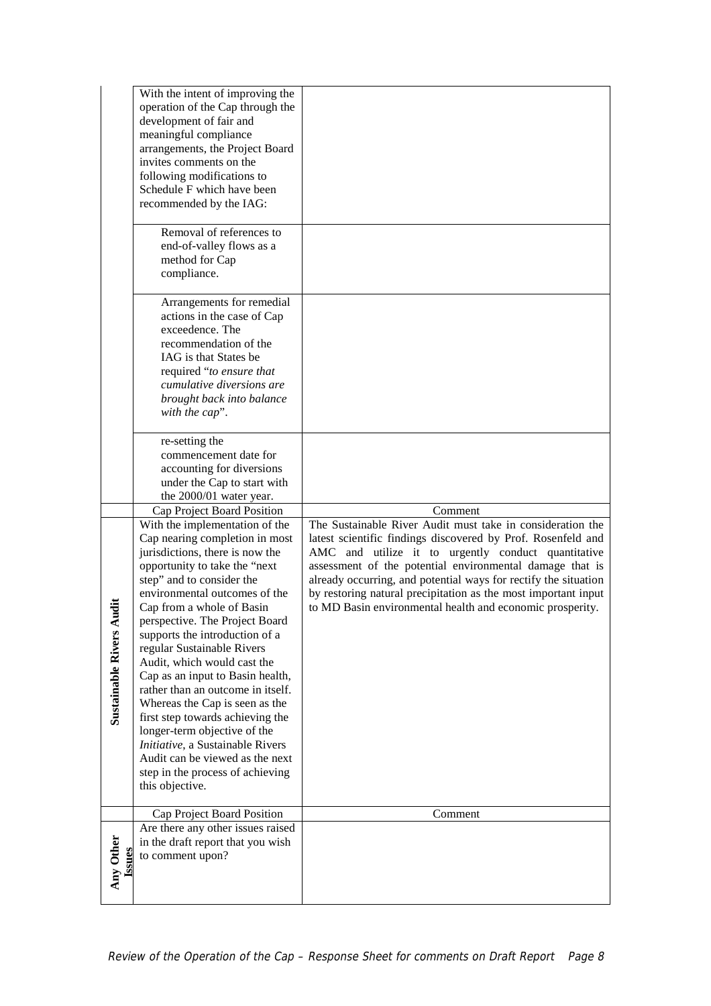|                                  | With the intent of improving the<br>operation of the Cap through the<br>development of fair and<br>meaningful compliance<br>arrangements, the Project Board<br>invites comments on the<br>following modifications to<br>Schedule F which have been<br>recommended by the IAG:                                                                                                                                                                                                                                                                                                                                                                                                                               |                                                                                                                                                                                                                                                                                                                                                                                                                                                            |
|----------------------------------|-------------------------------------------------------------------------------------------------------------------------------------------------------------------------------------------------------------------------------------------------------------------------------------------------------------------------------------------------------------------------------------------------------------------------------------------------------------------------------------------------------------------------------------------------------------------------------------------------------------------------------------------------------------------------------------------------------------|------------------------------------------------------------------------------------------------------------------------------------------------------------------------------------------------------------------------------------------------------------------------------------------------------------------------------------------------------------------------------------------------------------------------------------------------------------|
|                                  | Removal of references to<br>end-of-valley flows as a<br>method for Cap<br>compliance.                                                                                                                                                                                                                                                                                                                                                                                                                                                                                                                                                                                                                       |                                                                                                                                                                                                                                                                                                                                                                                                                                                            |
|                                  | Arrangements for remedial<br>actions in the case of Cap<br>exceedence. The<br>recommendation of the<br>IAG is that States be<br>required "to ensure that<br>cumulative diversions are<br>brought back into balance<br>with the cap".                                                                                                                                                                                                                                                                                                                                                                                                                                                                        |                                                                                                                                                                                                                                                                                                                                                                                                                                                            |
|                                  | re-setting the<br>commencement date for<br>accounting for diversions<br>under the Cap to start with<br>the 2000/01 water year.                                                                                                                                                                                                                                                                                                                                                                                                                                                                                                                                                                              |                                                                                                                                                                                                                                                                                                                                                                                                                                                            |
| Ĕ<br><b>Sustainable Rivers A</b> | Cap Project Board Position<br>With the implementation of the<br>Cap nearing completion in most<br>jurisdictions, there is now the<br>opportunity to take the "next<br>step" and to consider the<br>environmental outcomes of the<br>Cap from a whole of Basin<br>perspective. The Project Board<br>supports the introduction of a<br>regular Sustainable Rivers<br>Audit, which would cast the<br>Cap as an input to Basin health,<br>rather than an outcome in itself.<br>Whereas the Cap is seen as the<br>first step towards achieving the<br>longer-term objective of the<br>Initiative, a Sustainable Rivers<br>Audit can be viewed as the next<br>step in the process of achieving<br>this objective. | Comment<br>The Sustainable River Audit must take in consideration the<br>latest scientific findings discovered by Prof. Rosenfeld and<br>AMC and utilize it to urgently conduct quantitative<br>assessment of the potential environmental damage that is<br>already occurring, and potential ways for rectify the situation<br>by restoring natural precipitation as the most important input<br>to MD Basin environmental health and economic prosperity. |
|                                  | Cap Project Board Position<br>Are there any other issues raised                                                                                                                                                                                                                                                                                                                                                                                                                                                                                                                                                                                                                                             | Comment                                                                                                                                                                                                                                                                                                                                                                                                                                                    |
| Any Other                        | in the draft report that you wish<br>to comment upon?                                                                                                                                                                                                                                                                                                                                                                                                                                                                                                                                                                                                                                                       |                                                                                                                                                                                                                                                                                                                                                                                                                                                            |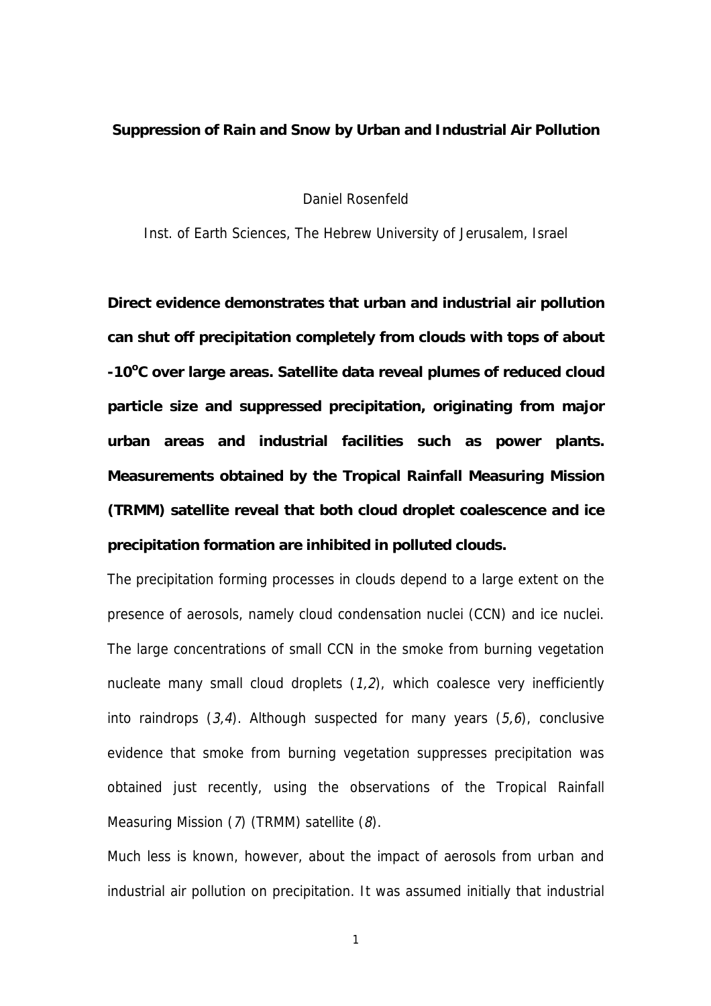## **Suppression of Rain and Snow by Urban and Industrial Air Pollution**

Daniel Rosenfeld

Inst. of Earth Sciences, The Hebrew University of Jerusalem, Israel

**Direct evidence demonstrates that urban and industrial air pollution can shut off precipitation completely from clouds with tops of about -10<sup>o</sup> C over large areas. Satellite data reveal plumes of reduced cloud particle size and suppressed precipitation, originating from major urban areas and industrial facilities such as power plants. Measurements obtained by the Tropical Rainfall Measuring Mission (TRMM) satellite reveal that both cloud droplet coalescence and ice precipitation formation are inhibited in polluted clouds.**

The precipitation forming processes in clouds depend to a large extent on the presence of aerosols, namely cloud condensation nuclei (CCN) and ice nuclei. The large concentrations of small CCN in the smoke from burning vegetation nucleate many small cloud droplets  $(1,2)$ , which coalesce very inefficiently into raindrops  $(3,4)$ . Although suspected for many years  $(5,6)$ , conclusive evidence that smoke from burning vegetation suppresses precipitation was obtained just recently, using the observations of the Tropical Rainfall Measuring Mission (7) (TRMM) satellite (8).

Much less is known, however, about the impact of aerosols from urban and industrial air pollution on precipitation. It was assumed initially that industrial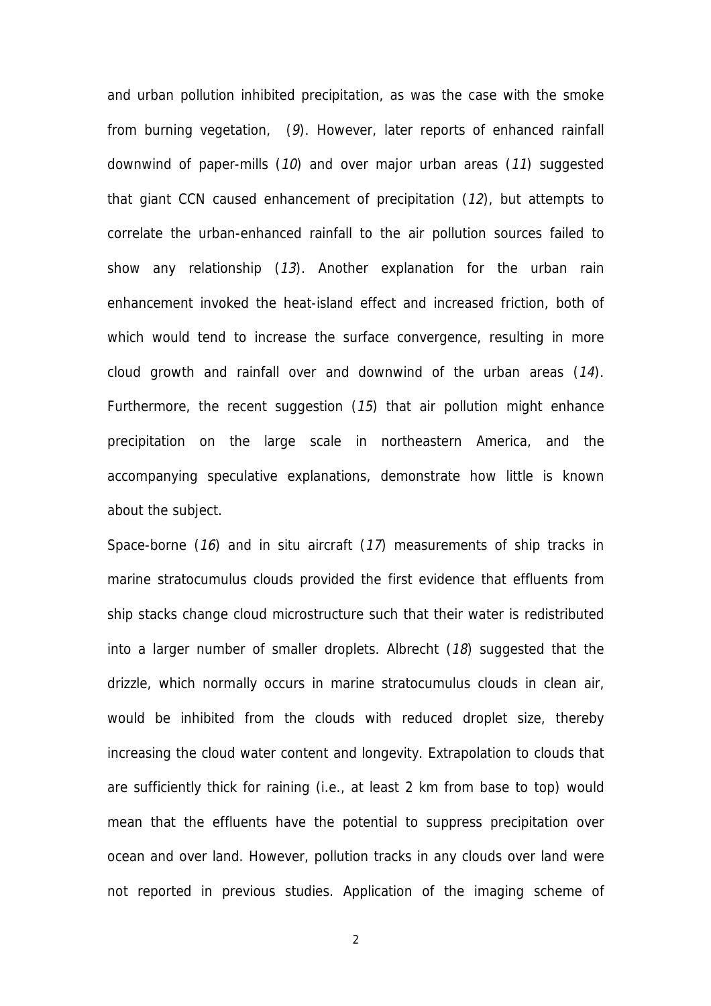and urban pollution inhibited precipitation, as was the case with the smoke from burning vegetation, (9). However, later reports of enhanced rainfall downwind of paper-mills (10) and over major urban areas (11) suggested that giant CCN caused enhancement of precipitation (12), but attempts to correlate the urban-enhanced rainfall to the air pollution sources failed to show any relationship (13). Another explanation for the urban rain enhancement invoked the heat-island effect and increased friction, both of which would tend to increase the surface convergence, resulting in more cloud growth and rainfall over and downwind of the urban areas (14). Furthermore, the recent suggestion (15) that air pollution might enhance precipitation on the large scale in northeastern America, and the accompanying speculative explanations, demonstrate how little is known about the subject.

Space-borne (16) and in situ aircraft (17) measurements of ship tracks in marine stratocumulus clouds provided the first evidence that effluents from ship stacks change cloud microstructure such that their water is redistributed into a larger number of smaller droplets. Albrecht (18) suggested that the drizzle, which normally occurs in marine stratocumulus clouds in clean air, would be inhibited from the clouds with reduced droplet size, thereby increasing the cloud water content and longevity. Extrapolation to clouds that are sufficiently thick for raining (i.e., at least 2 km from base to top) would mean that the effluents have the potential to suppress precipitation over ocean and over land. However, pollution tracks in any clouds over land were not reported in previous studies. Application of the imaging scheme of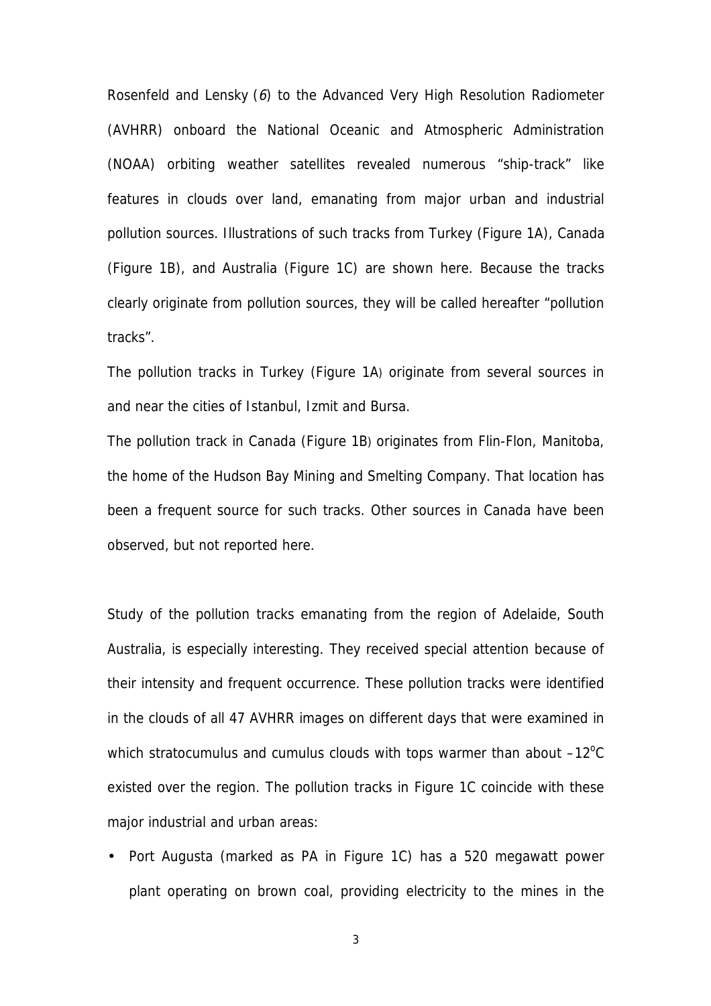Rosenfeld and Lensky (6) to the Advanced Very High Resolution Radiometer (AVHRR) onboard the National Oceanic and Atmospheric Administration (NOAA) orbiting weather satellites revealed numerous "ship-track" like features in clouds over land, emanating from major urban and industrial pollution sources. Illustrations of such tracks from Turkey (Figure 1A), Canada (Figure 1B), and Australia (Figure 1C) are shown here. Because the tracks clearly originate from pollution sources, they will be called hereafter "pollution tracks".

The pollution tracks in Turkey (Figure 1A) originate from several sources in and near the cities of Istanbul, Izmit and Bursa.

The pollution track in Canada (Figure 1B) originates from Flin-Flon, Manitoba, the home of the Hudson Bay Mining and Smelting Company. That location has been a frequent source for such tracks. Other sources in Canada have been observed, but not reported here.

Study of the pollution tracks emanating from the region of Adelaide, South Australia, is especially interesting. They received special attention because of their intensity and frequent occurrence. These pollution tracks were identified in the clouds of all 47 AVHRR images on different days that were examined in which stratocumulus and cumulus clouds with tops warmer than about  $-12^{\circ}$ C existed over the region. The pollution tracks in Figure 1C coincide with these major industrial and urban areas:

• Port Augusta (marked as PA in Figure 1C) has a 520 megawatt power plant operating on brown coal, providing electricity to the mines in the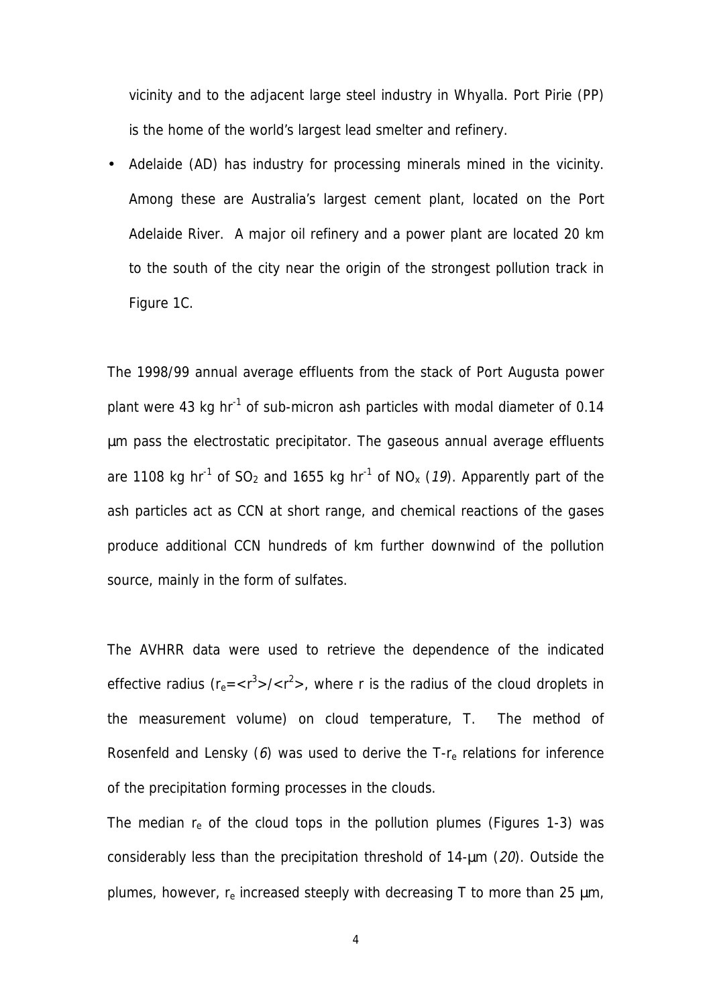vicinity and to the adjacent large steel industry in Whyalla. Port Pirie (PP) is the home of the world's largest lead smelter and refinery.

Adelaide (AD) has industry for processing minerals mined in the vicinity. Among these are Australia's largest cement plant, located on the Port Adelaide River. A major oil refinery and a power plant are located 20 km to the south of the city near the origin of the strongest pollution track in Figure 1C.

The 1998/99 annual average effluents from the stack of Port Augusta power plant were 43 kg hr<sup>-1</sup> of sub-micron ash particles with modal diameter of 0.14 µm pass the electrostatic precipitator. The gaseous annual average effluents are 1108 kg hr<sup>-1</sup> of SO<sub>2</sub> and 1655 kg hr<sup>-1</sup> of NO<sub>x</sub> (19). Apparently part of the ash particles act as CCN at short range, and chemical reactions of the gases produce additional CCN hundreds of km further downwind of the pollution source, mainly in the form of sulfates.

The AVHRR data were used to retrieve the dependence of the indicated effective radius ( $r_e = \langle r^3 \rangle / \langle r^2 \rangle$ , where r is the radius of the cloud droplets in the measurement volume) on cloud temperature, T. The method of Rosenfeld and Lensky  $(6)$  was used to derive the T- $r_{e}$  relations for inference of the precipitation forming processes in the clouds.

The median  $r_e$  of the cloud tops in the pollution plumes (Figures 1-3) was considerably less than the precipitation threshold of 14-µm (20). Outside the plumes, however,  $r_e$  increased steeply with decreasing T to more than 25  $\mu$ m,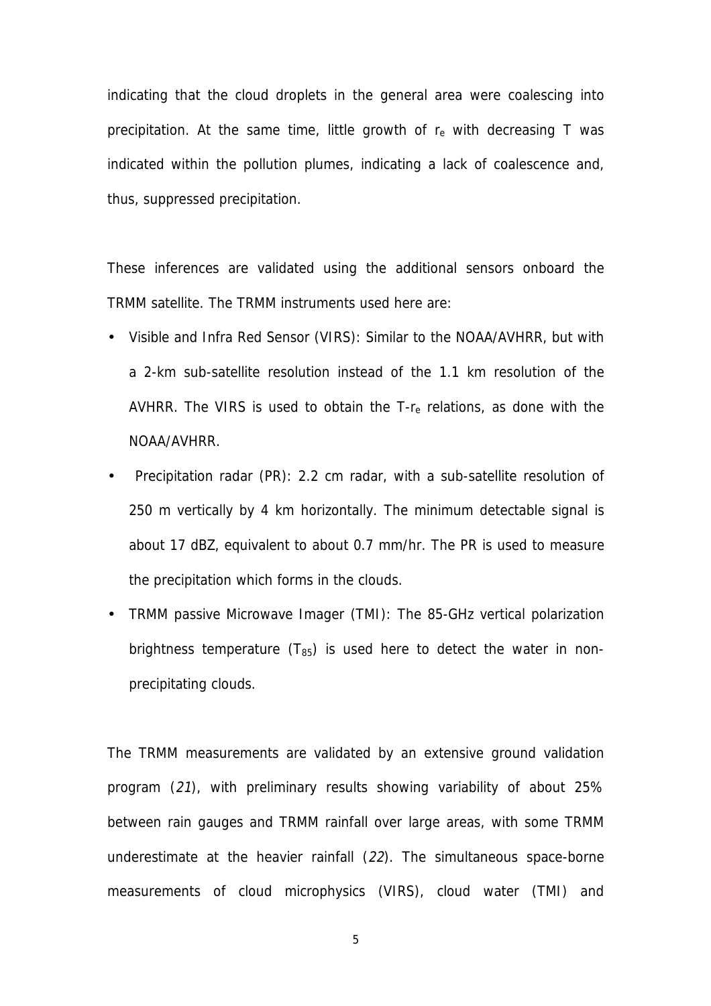indicating that the cloud droplets in the general area were coalescing into precipitation. At the same time, little growth of  $r_e$  with decreasing T was indicated within the pollution plumes, indicating a lack of coalescence and, thus, suppressed precipitation.

These inferences are validated using the additional sensors onboard the TRMM satellite. The TRMM instruments used here are:

- Visible and Infra Red Sensor (VIRS): Similar to the NOAA/AVHRR, but with a 2-km sub-satellite resolution instead of the 1.1 km resolution of the AVHRR. The VIRS is used to obtain the  $T$ - $r_{e}$  relations, as done with the NOAA/AVHRR.
- Precipitation radar (PR): 2.2 cm radar, with a sub-satellite resolution of 250 m vertically by 4 km horizontally. The minimum detectable signal is about 17 dBZ, equivalent to about 0.7 mm/hr. The PR is used to measure the precipitation which forms in the clouds.
- TRMM passive Microwave Imager (TMI): The 85-GHz vertical polarization brightness temperature  $(T_{85})$  is used here to detect the water in nonprecipitating clouds.

The TRMM measurements are validated by an extensive ground validation program (21), with preliminary results showing variability of about 25% between rain gauges and TRMM rainfall over large areas, with some TRMM underestimate at the heavier rainfall (22). The simultaneous space-borne measurements of cloud microphysics (VIRS), cloud water (TMI) and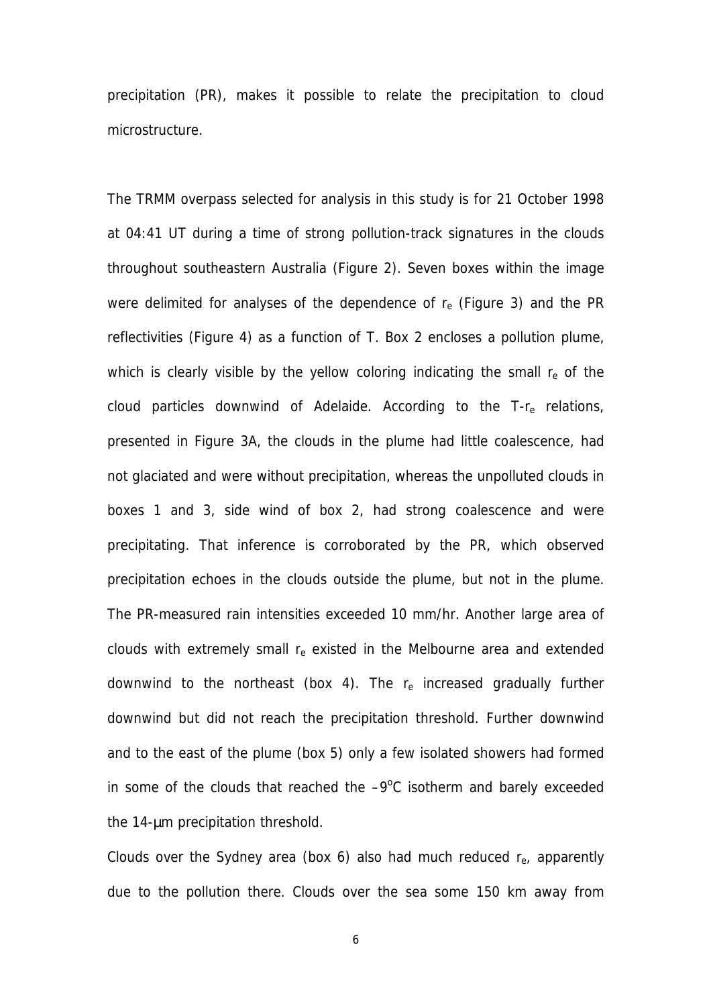precipitation (PR), makes it possible to relate the precipitation to cloud microstructure.

The TRMM overpass selected for analysis in this study is for 21 October 1998 at 04:41 UT during a time of strong pollution-track signatures in the clouds throughout southeastern Australia (Figure 2). Seven boxes within the image were delimited for analyses of the dependence of  $r_e$  (Figure 3) and the PR reflectivities (Figure 4) as a function of T. Box 2 encloses a pollution plume, which is clearly visible by the yellow coloring indicating the small  $r_{e}$  of the cloud particles downwind of Adelaide. According to the  $T-r<sub>e</sub>$  relations, presented in Figure 3A, the clouds in the plume had little coalescence, had not glaciated and were without precipitation, whereas the unpolluted clouds in boxes 1 and 3, side wind of box 2, had strong coalescence and were precipitating. That inference is corroborated by the PR, which observed precipitation echoes in the clouds outside the plume, but not in the plume. The PR-measured rain intensities exceeded 10 mm/hr. Another large area of clouds with extremely small  $r_e$  existed in the Melbourne area and extended downwind to the northeast (box 4). The  $r_e$  increased gradually further downwind but did not reach the precipitation threshold. Further downwind and to the east of the plume (box 5) only a few isolated showers had formed in some of the clouds that reached the  $-9^{\circ}$ C isotherm and barely exceeded the 14-µm precipitation threshold.

Clouds over the Sydney area (box 6) also had much reduced  $r_{e}$ , apparently due to the pollution there. Clouds over the sea some 150 km away from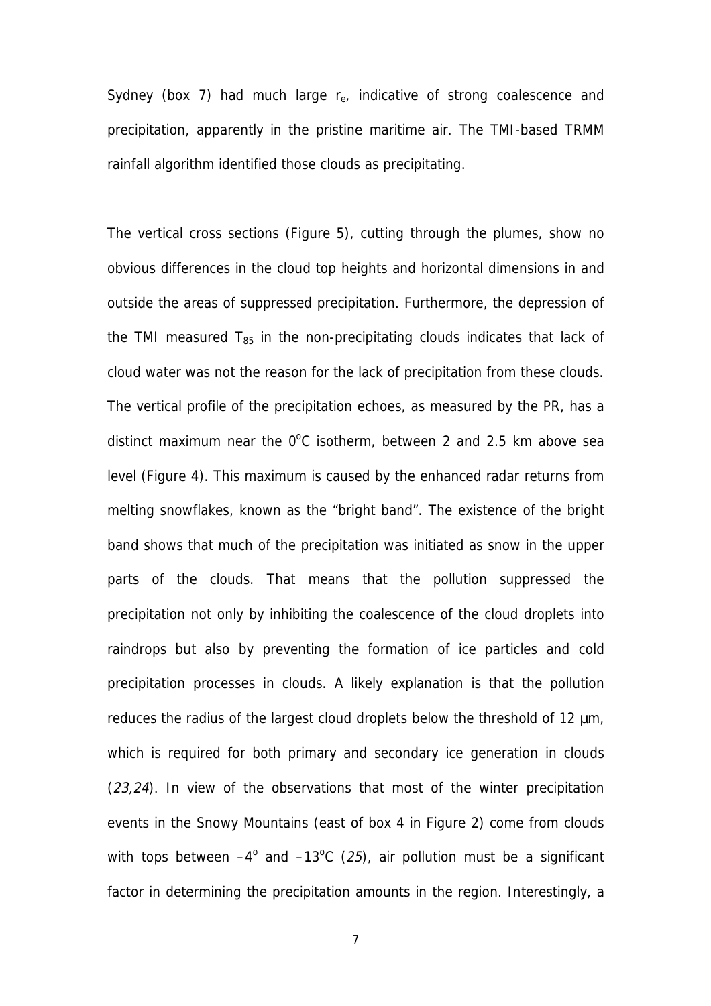Sydney (box 7) had much large  $r_{e}$ , indicative of strong coalescence and precipitation, apparently in the pristine maritime air. The TMI-based TRMM rainfall algorithm identified those clouds as precipitating.

The vertical cross sections (Figure 5), cutting through the plumes, show no obvious differences in the cloud top heights and horizontal dimensions in and outside the areas of suppressed precipitation. Furthermore, the depression of the TMI measured  $T_{85}$  in the non-precipitating clouds indicates that lack of cloud water was not the reason for the lack of precipitation from these clouds. The vertical profile of the precipitation echoes, as measured by the PR, has a distinct maximum near the  $0^{\circ}$ C isotherm, between 2 and 2.5 km above sea level (Figure 4). This maximum is caused by the enhanced radar returns from melting snowflakes, known as the "bright band". The existence of the bright band shows that much of the precipitation was initiated as snow in the upper parts of the clouds. That means that the pollution suppressed the precipitation not only by inhibiting the coalescence of the cloud droplets into raindrops but also by preventing the formation of ice particles and cold precipitation processes in clouds. A likely explanation is that the pollution reduces the radius of the largest cloud droplets below the threshold of 12 µm, which is required for both primary and secondary ice generation in clouds (23,24). In view of the observations that most of the winter precipitation events in the Snowy Mountains (east of box 4 in Figure 2) come from clouds with tops between  $-4^{\circ}$  and  $-13^{\circ}$ C (25), air pollution must be a significant factor in determining the precipitation amounts in the region. Interestingly, a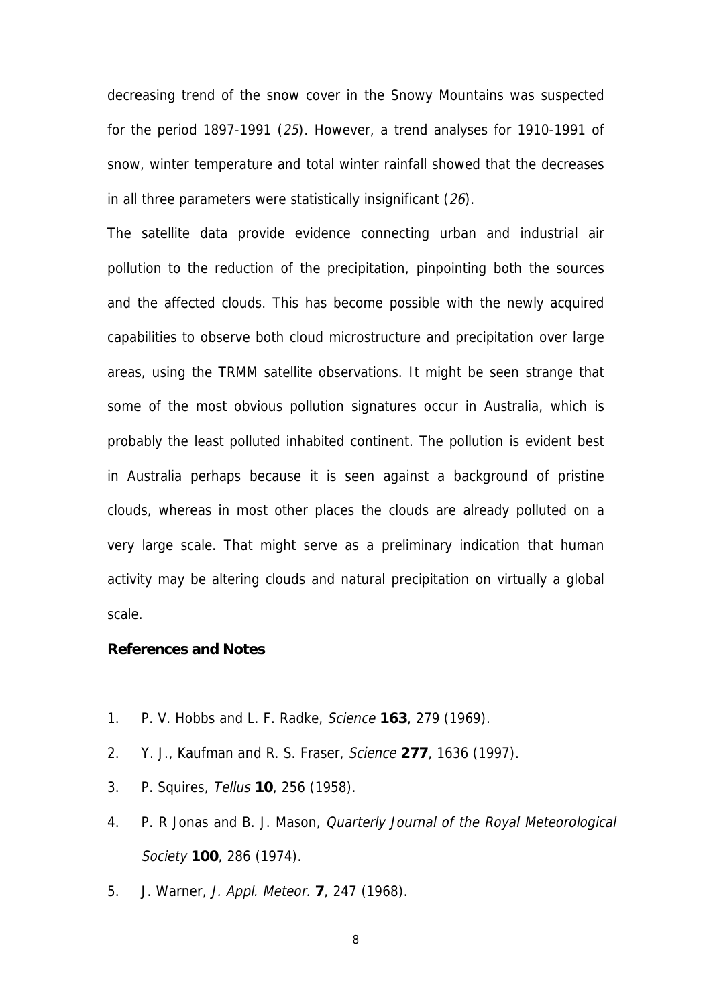decreasing trend of the snow cover in the Snowy Mountains was suspected for the period 1897-1991 (25). However, a trend analyses for 1910-1991 of snow, winter temperature and total winter rainfall showed that the decreases in all three parameters were statistically insignificant (26).

The satellite data provide evidence connecting urban and industrial air pollution to the reduction of the precipitation, pinpointing both the sources and the affected clouds. This has become possible with the newly acquired capabilities to observe both cloud microstructure and precipitation over large areas, using the TRMM satellite observations. It might be seen strange that some of the most obvious pollution signatures occur in Australia, which is probably the least polluted inhabited continent. The pollution is evident best in Australia perhaps because it is seen against a background of pristine clouds, whereas in most other places the clouds are already polluted on a very large scale. That might serve as a preliminary indication that human activity may be altering clouds and natural precipitation on virtually a global scale.

## **References and Notes**

- 1. P. V. Hobbs and L. F. Radke, Science **163**, 279 (1969).
- 2. Y. J., Kaufman and R. S. Fraser, Science **277**, 1636 (1997).
- 3. P. Squires, Tellus **10**, 256 (1958).
- 4. P. R Jonas and B. J. Mason, Quarterly Journal of the Royal Meteorological Society **100**, 286 (1974).
- 5. J. Warner, J. Appl. Meteor. **7**, 247 (1968).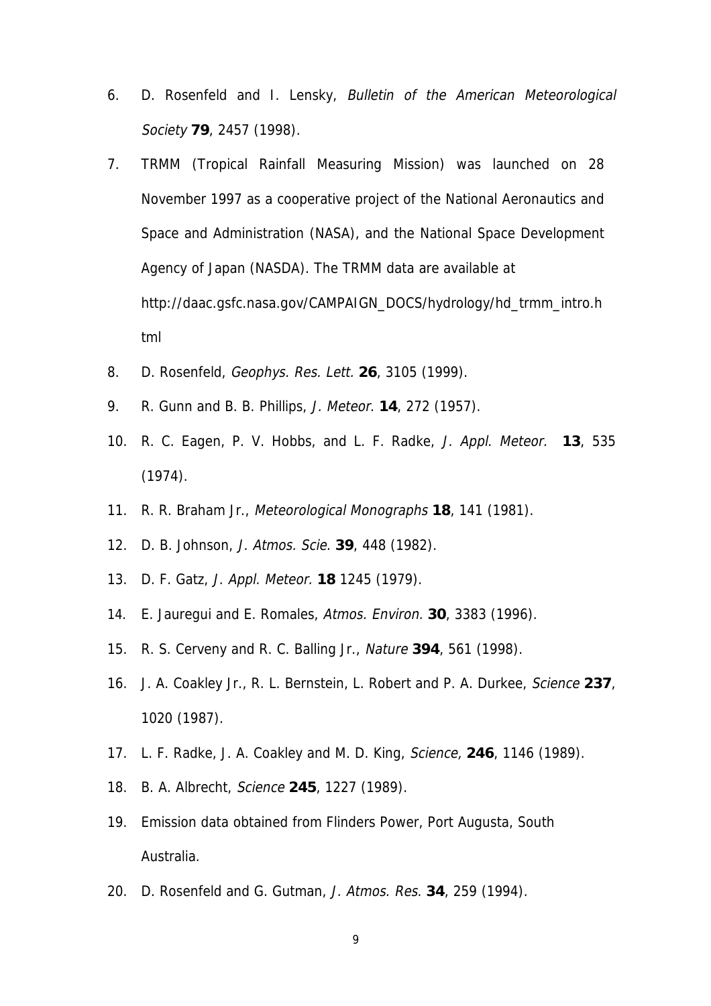- 6. D. Rosenfeld and I. Lensky, Bulletin of the American Meteorological Society **79**, 2457 (1998).
- 7. TRMM (Tropical Rainfall Measuring Mission) was launched on 28 November 1997 as a cooperative project of the National Aeronautics and Space and Administration (NASA), and the National Space Development Agency of Japan (NASDA). The TRMM data are available at http://daac.gsfc.nasa.gov/CAMPAIGN\_DOCS/hydrology/hd\_trmm\_intro.h tml
- 8. D. Rosenfeld, Geophys. Res. Lett. **26**, 3105 (1999).
- 9. R. Gunn and B. B. Phillips, J. Meteor. **14**, 272 (1957).
- 10. R. C. Eagen, P. V. Hobbs, and L. F. Radke, J. Appl. Meteor. **13**, 535 (1974).
- 11. R. R. Braham Jr., Meteorological Monographs **18**, 141 (1981).
- 12. D. B. Johnson, J. Atmos. Scie. **39**, 448 (1982).
- 13. D. F. Gatz, J. Appl. Meteor. **18** 1245 (1979).
- 14. E. Jauregui and E. Romales, Atmos. Environ. **30**, 3383 (1996).
- 15. R. S. Cerveny and R. C. Balling Jr., Nature **394**, 561 (1998).
- 16. J. A. Coakley Jr., R. L. Bernstein, L. Robert and P. A. Durkee, Science **237**, 1020 (1987).
- 17. L. F. Radke, J. A. Coakley and M. D. King, Science, **246**, 1146 (1989).
- 18. B. A. Albrecht, Science **245**, 1227 (1989).
- 19. Emission data obtained from Flinders Power, Port Augusta, South Australia.
- 20. D. Rosenfeld and G. Gutman, J. Atmos. Res. **34**, 259 (1994).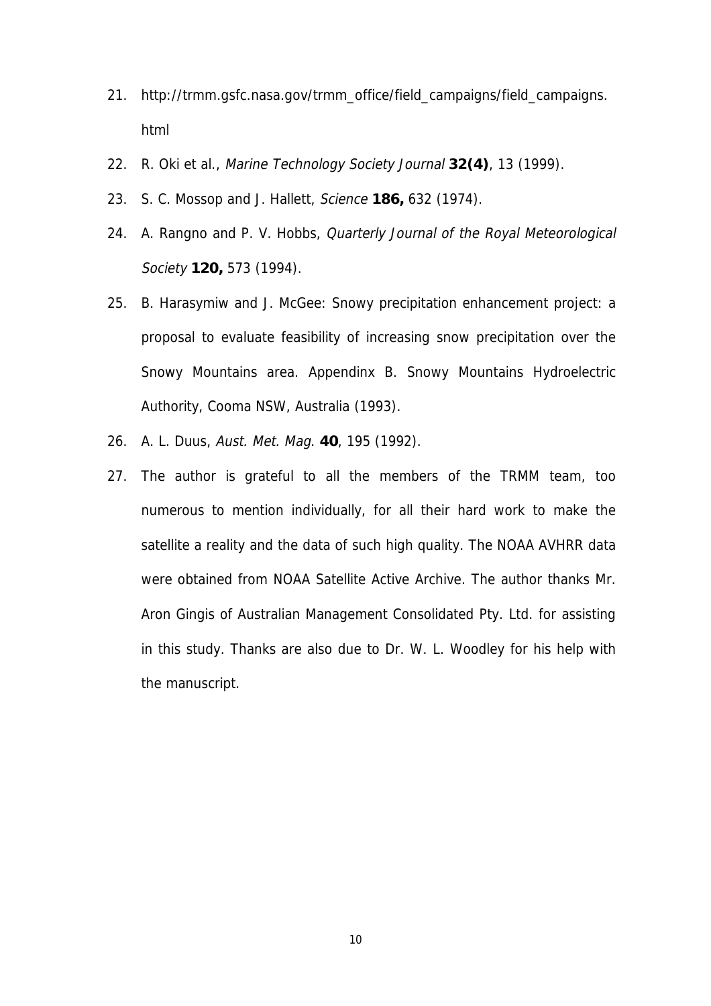- 21. http://trmm.gsfc.nasa.gov/trmm\_office/field\_campaigns/field\_campaigns. html
- 22. R. Oki et al., Marine Technology Society Journal **32(4)**, 13 (1999).
- 23. S. C. Mossop and J. Hallett, Science **186,** 632 (1974).
- 24. A. Rangno and P. V. Hobbs, Quarterly Journal of the Royal Meteorological Society **120,** 573 (1994).
- 25. B. Harasymiw and J. McGee: Snowy precipitation enhancement project: a proposal to evaluate feasibility of increasing snow precipitation over the Snowy Mountains area. Appendinx B. Snowy Mountains Hydroelectric Authority, Cooma NSW, Australia (1993).
- 26. A. L. Duus, Aust. Met. Mag. **40**, 195 (1992).
- 27. The author is grateful to all the members of the TRMM team, too numerous to mention individually, for all their hard work to make the satellite a reality and the data of such high quality. The NOAA AVHRR data were obtained from NOAA Satellite Active Archive. The author thanks Mr. Aron Gingis of Australian Management Consolidated Pty. Ltd. for assisting in this study. Thanks are also due to Dr. W. L. Woodley for his help with the manuscript.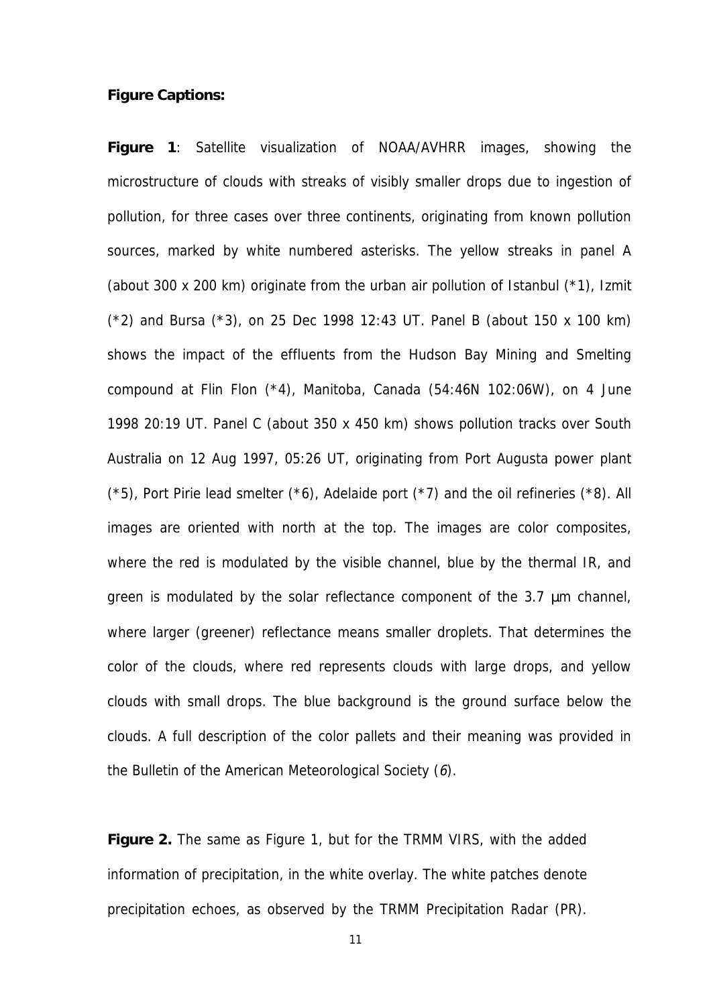## **Figure Captions:**

**Figure 1**: Satellite visualization of NOAA/AVHRR images, showing the microstructure of clouds with streaks of visibly smaller drops due to ingestion of pollution, for three cases over three continents, originating from known pollution sources, marked by white numbered asterisks. The yellow streaks in panel A (about 300 x 200 km) originate from the urban air pollution of Istanbul (\*1), Izmit (\*2) and Bursa (\*3), on 25 Dec 1998 12:43 UT. Panel B (about 150 x 100 km) shows the impact of the effluents from the Hudson Bay Mining and Smelting compound at Flin Flon (\*4), Manitoba, Canada (54:46N 102:06W), on 4 June 1998 20:19 UT. Panel C (about 350 x 450 km) shows pollution tracks over South Australia on 12 Aug 1997, 05:26 UT, originating from Port Augusta power plant  $(*5)$ , Port Pirie lead smelter  $(*6)$ , Adelaide port  $(*7)$  and the oil refineries  $(*8)$ . All images are oriented with north at the top. The images are color composites, where the red is modulated by the visible channel, blue by the thermal IR, and green is modulated by the solar reflectance component of the 3.7 µm channel, where larger (greener) reflectance means smaller droplets. That determines the color of the clouds, where red represents clouds with large drops, and yellow clouds with small drops. The blue background is the ground surface below the clouds. A full description of the color pallets and their meaning was provided in the Bulletin of the American Meteorological Society (6).

**Figure 2.** The same as Figure 1, but for the TRMM VIRS, with the added information of precipitation, in the white overlay. The white patches denote precipitation echoes, as observed by the TRMM Precipitation Radar (PR).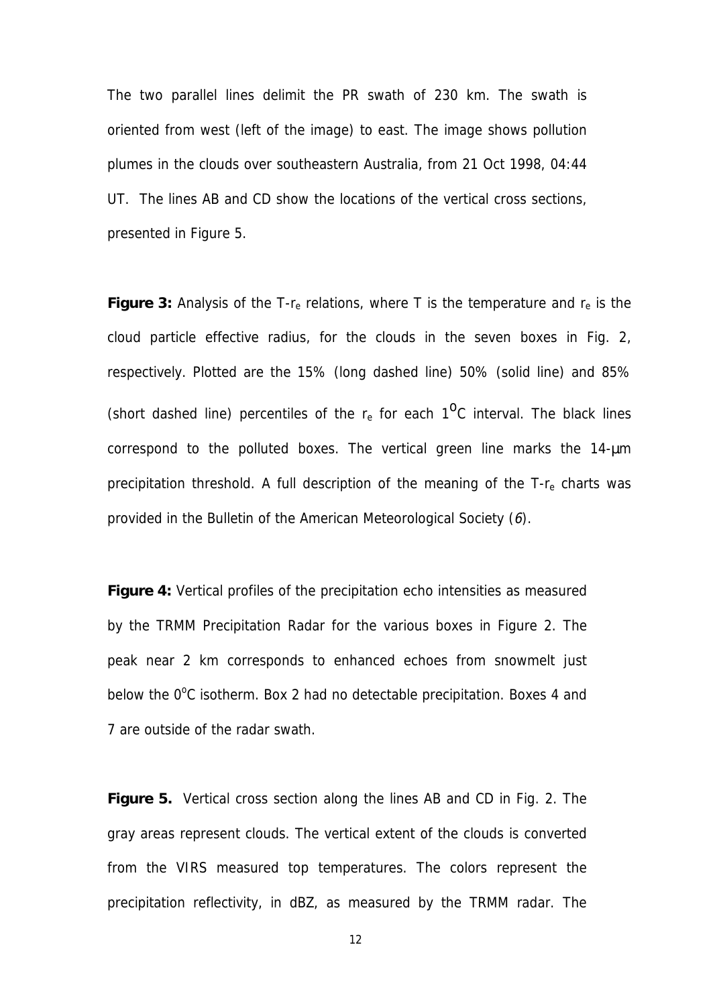The two parallel lines delimit the PR swath of 230 km. The swath is oriented from west (left of the image) to east. The image shows pollution plumes in the clouds over southeastern Australia, from 21 Oct 1998, 04:44 UT. The lines AB and CD show the locations of the vertical cross sections, presented in Figure 5.

**Figure 3:** Analysis of the  $T$ - $r_e$  relations, where  $T$  is the temperature and  $r_e$  is the cloud particle effective radius, for the clouds in the seven boxes in Fig. 2, respectively. Plotted are the 15% (long dashed line) 50% (solid line) and 85% (short dashed line) percentiles of the  $r_e$  for each  $1^0C$  interval. The black lines correspond to the polluted boxes. The vertical green line marks the 14-µm precipitation threshold. A full description of the meaning of the  $T-r<sub>e</sub>$  charts was provided in the Bulletin of the American Meteorological Society (6).

**Figure 4:** Vertical profiles of the precipitation echo intensities as measured by the TRMM Precipitation Radar for the various boxes in Figure 2. The peak near 2 km corresponds to enhanced echoes from snowmelt just below the 0°C isotherm. Box 2 had no detectable precipitation. Boxes 4 and 7 are outside of the radar swath.

**Figure 5.** Vertical cross section along the lines AB and CD in Fig. 2. The gray areas represent clouds. The vertical extent of the clouds is converted from the VIRS measured top temperatures. The colors represent the precipitation reflectivity, in dBZ, as measured by the TRMM radar. The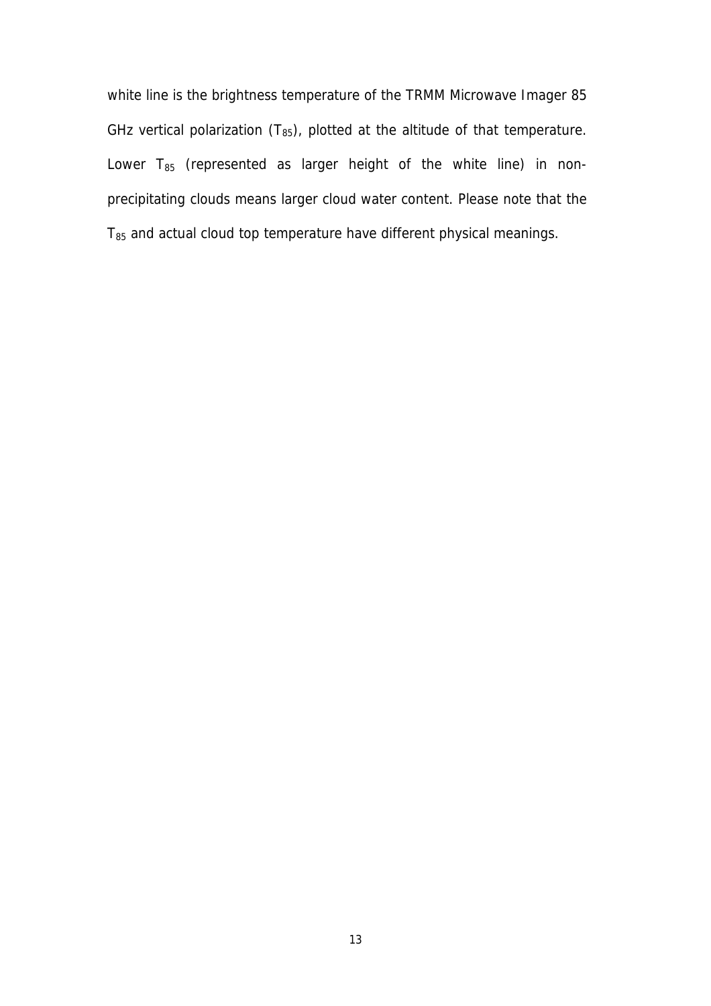white line is the brightness temperature of the TRMM Microwave Imager 85 GHz vertical polarization  $(T_{85})$ , plotted at the altitude of that temperature. Lower  $T_{85}$  (represented as larger height of the white line) in nonprecipitating clouds means larger cloud water content. Please note that the  $T_{85}$  and actual cloud top temperature have different physical meanings.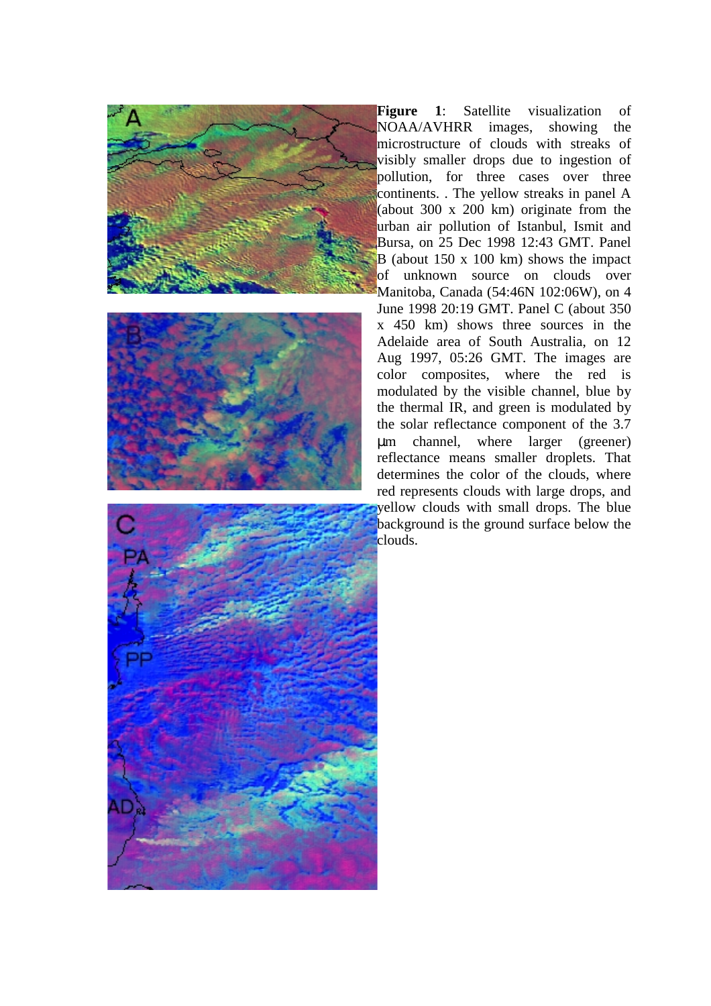





**Figure 1**: Satellite visualization of NOAA/AVHRR images, showing the microstructure of clouds with streaks of visibly smaller drops due to ingestion of pollution, for three cases over three continents. . The yellow streaks in panel A (about 300 x 200 km) originate from the urban air pollution of Istanbul, Ismit and Bursa, on 25 Dec 1998 12:43 GMT. Panel B (about 150 x 100 km) shows the impact of unknown source on clouds over Manitoba, Canada (54:46N 102:06W), on 4 June 1998 20:19 GMT. Panel C (about 350 x 450 km) shows three sources in the Adelaide area of South Australia, on 12 Aug 1997, 05:26 GMT. The images are color composites, where the red is modulated by the visible channel, blue by the thermal IR, and green is modulated by the solar reflectance component of the 3.7 µm channel, where larger (greener) reflectance means smaller droplets. That determines the color of the clouds, where red represents clouds with large drops, and yellow clouds with small drops. The blue background is the ground surface below the clouds.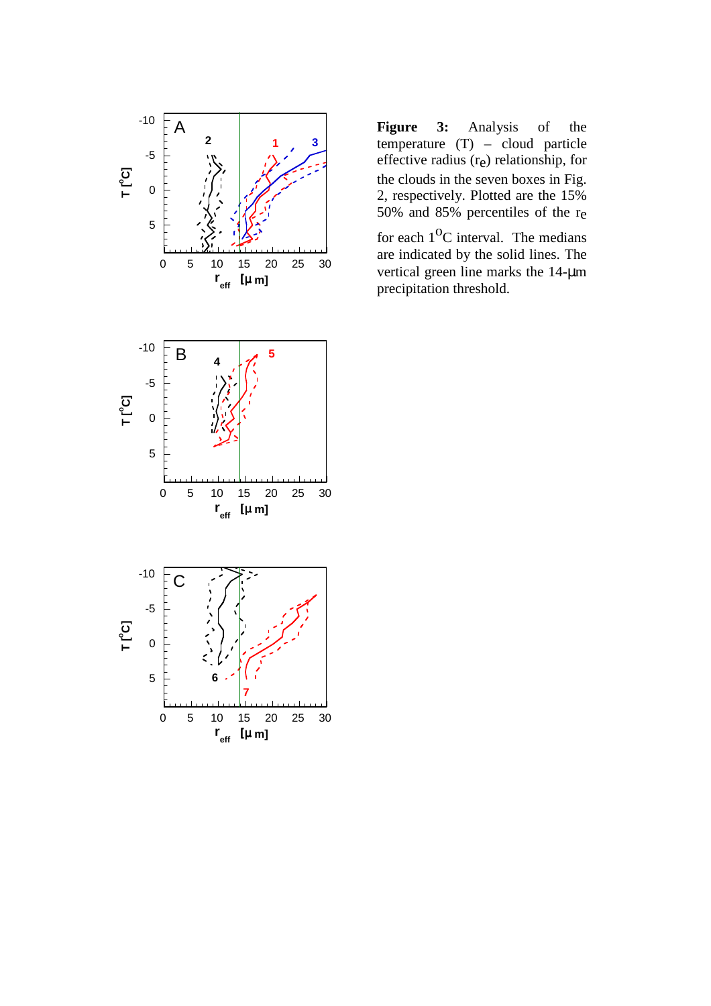

**Figure 3:** Analysis of the temperature  $(T)$  – cloud particle effective radius (re) relationship, for the clouds in the seven boxes in Fig. 2, respectively. Plotted are the 15% 50% and 85% percentiles of the re

for each  $1^{\circ}$ C interval. The medians are indicated by the solid lines. The vertical green line marks the 14-µm precipitation threshold.



0 5 10 15 20 25 30

**7**

**r eff** [µ **m]**

**6**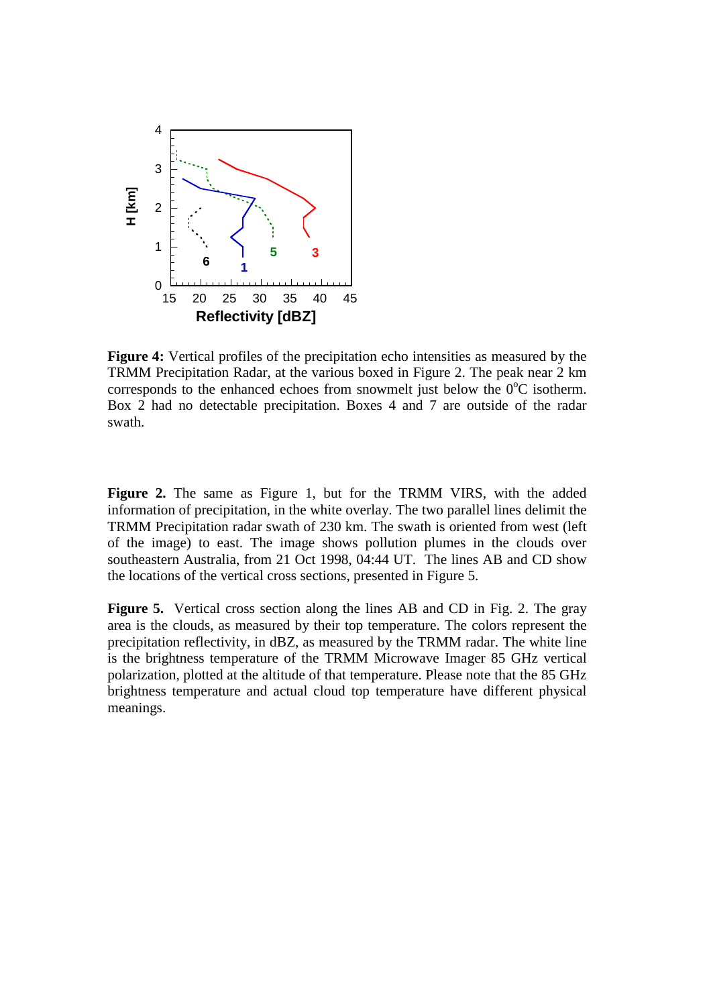

**Figure 4:** Vertical profiles of the precipitation echo intensities as measured by the TRMM Precipitation Radar, at the various boxed in Figure 2. The peak near 2 km corresponds to the enhanced echoes from snowmelt just below the  $0^{\circ}$ C isotherm. Box 2 had no detectable precipitation. Boxes 4 and 7 are outside of the radar swath.

**Figure 2.** The same as Figure 1, but for the TRMM VIRS, with the added information of precipitation, in the white overlay. The two parallel lines delimit the TRMM Precipitation radar swath of 230 km. The swath is oriented from west (left of the image) to east. The image shows pollution plumes in the clouds over southeastern Australia, from 21 Oct 1998, 04:44 UT. The lines AB and CD show the locations of the vertical cross sections, presented in Figure 5.

**Figure 5.** Vertical cross section along the lines AB and CD in Fig. 2. The gray area is the clouds, as measured by their top temperature. The colors represent the precipitation reflectivity, in dBZ, as measured by the TRMM radar. The white line is the brightness temperature of the TRMM Microwave Imager 85 GHz vertical polarization, plotted at the altitude of that temperature. Please note that the 85 GHz brightness temperature and actual cloud top temperature have different physical meanings.